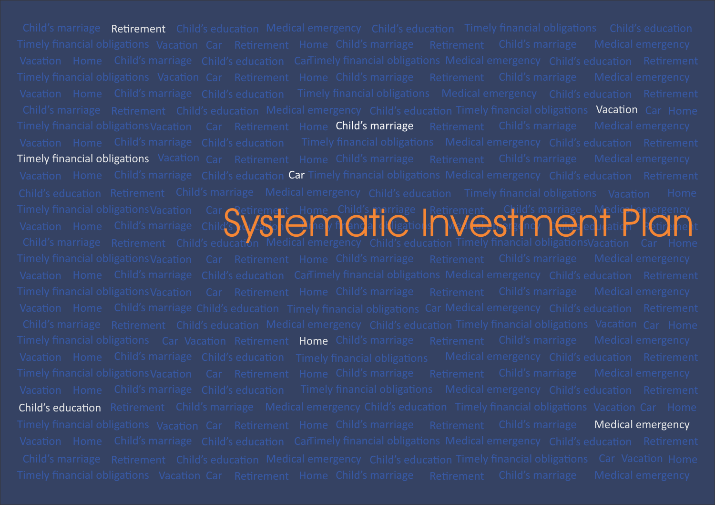Child's marriage **Retirement** Child's education Medical emergency Child's education Timely financial obligations Child's education Child's marriage Retirement Child's education Medical emergency Child's education Timely financial obligations Vacation Car Home Timely financial obligations Vacation Car Retirement Home **Child's marriage** Retirement Child's marriage Medical emergency Timely financial obligations Vacation Car Retirement Home Child's marriage Retirement Child's marriage Medical emergency Vacation Home Child's marriage Child's education **Car** Timely financial obligations Medical emergency Child's education Retirement Child's marriage Retirement Child's education Medical emergency Child's education Timely financial obligationsVacation Car Home Timely financial obligations Car Vacation Retirement **Home** Child's marriage Retirement Child's marriage Medical emergency Child's education Retirement Child's marriage Medical emergency Child's education Timely financial obligations Vacation Car Home Timely financial obligations Vacation Car **Retirement Child's education** Child's marriage Home Child's marriage Child S Wayph Hely f (engla|| liggition|| | Wil<del>d D</del> refind | [<del>(iii,]</del> education | [etij]||ehe Vacation Car Retirement Home Child's marriage Retirement Child's marriage Medical emergency Home  $\frac{1}{L}$ i hely financi<mark>al di l</mark>igation<mark>s</mark> Vacation Home Child's marriage Child  $\mathbf{W}$  ,  $\mathbf{W}$  ,  $\mathbf{W}$  (ence all  $\mathbf{W}$  is  $\mathbf{W}$  ,  $\mathbf{W}$  )  $\mathbf{W}$ Timely financial obligations Vacation Car Retirement Home Child's marriage Retirement Child's marriage **Medical emergency** Systematic Home Child's perhapse Retirement Child's marriage Medic Piergency<br>Systematic Plannergency Child's education Timely financial obligations/acation Carl Home<br>ucation Medical emergency Child's education Timely finan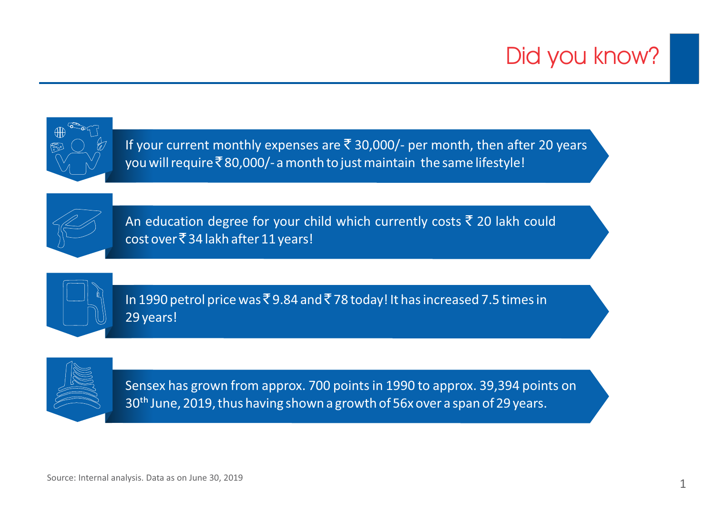# Did you know?



If your current monthly expenses are  $\bar{\tau}$  30,000/- per month, then after 20 years you will require  $\bar{\mathfrak{e}}$  80,000/- a month to just maintain the same lifestyle!



An education degree for your child which currently costs  $\bar{\tau}$  20 lakh could cost over  $\bar{z}$  34 lakh after 11 years!



In 1990 petrol price was  $\bar{z}$  9.84 and  $\bar{z}$  78 today! It has increased 7.5 times in 29 years!



Sensex has grown from approx. 700 points in 1990 to approx. 39,394 points on 30<sup>th</sup> June, 2019, thus having shown a growth of 56x over a span of 29 years.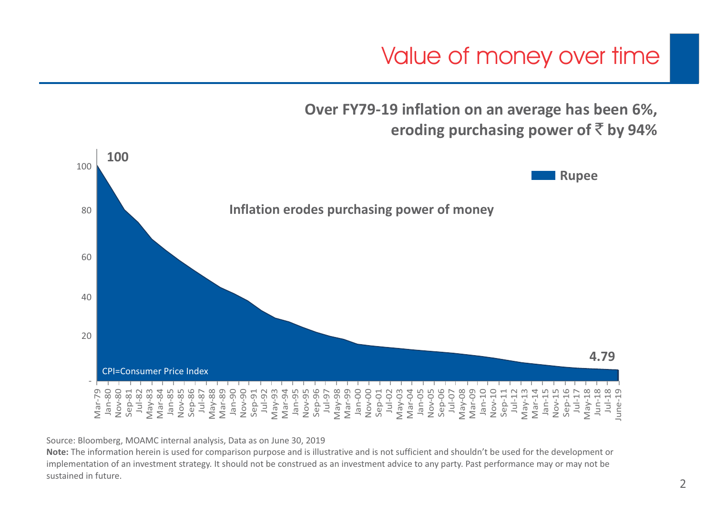Value of money over time

**Over FY79-19 inflation on an average has been 6%, eroding purchasing power of** ` **by 94%**



Source: Bloomberg, MOAMC internal analysis, Data as on June 30, 2019

**Note:** The information herein is used for comparison purpose and is illustrative and is not sufficient and shouldn't be used for the development or implementation of an investment strategy. It should not be construed as an investment advice to any party. Past performance may or may not be sustained in future.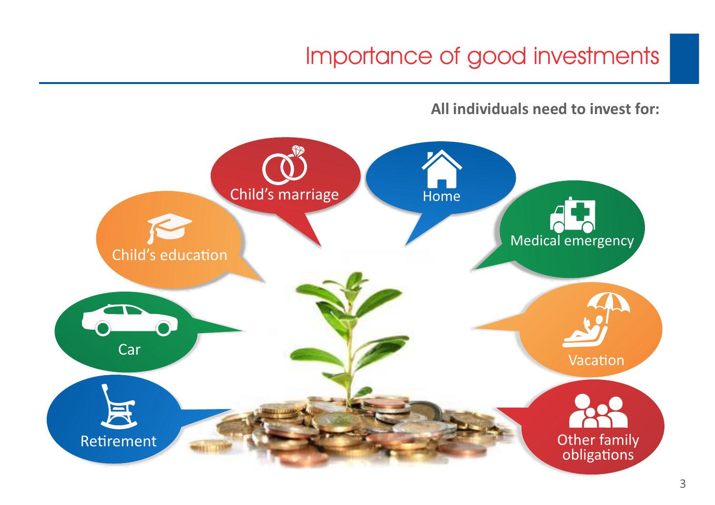### Importance of good investments

**All individuals need to invest for:** 

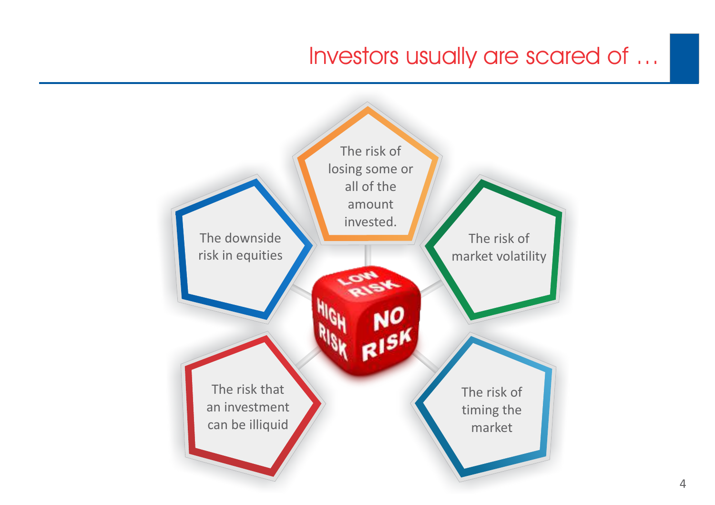#### Investors usually are scared of …

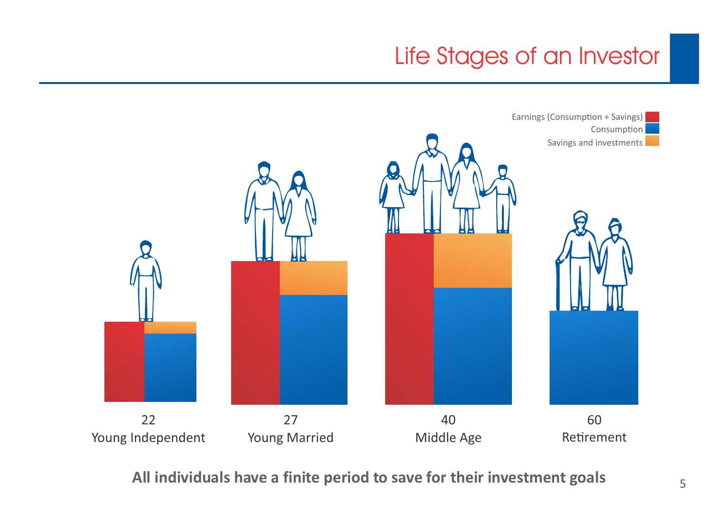## Life Stages of an Investor



**All individuals have a finite period to save for their investment goals**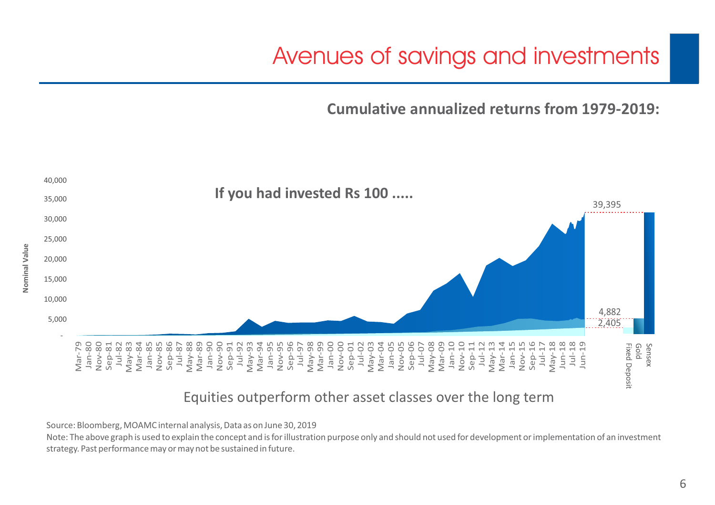### Avenues of savings and investments

**Cumulative annualized returns from 1979-2019:**



#### Equities outperform other asset classes over the long term

Source: Bloomberg, MOAMC internal analysis, Data as on June 30, 2019

**Nominal Value**

Note: The above graph is used to explain the concept and is for illustration purpose only and should not used for development or implementation of an investment strategy. Past performance may or may not be sustained in future.

6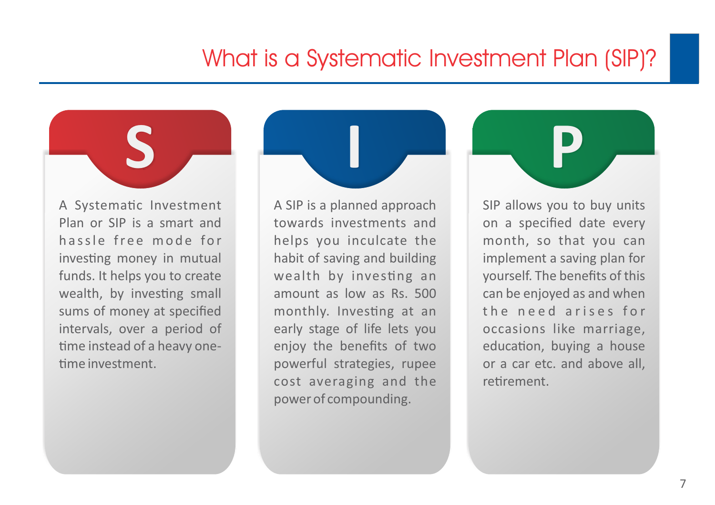#### What is a Systematic Investment Plan (SIP)?

A Systematic Investment Plan or SIP is a smart and hassle free mode for investing money in mutual funds. It helps you to create wealth, by investing small sums of money at specified intervals, over a period of time instead of a heavy one-

me investment.

A SIP is a planned approach towards investments and helps you inculcate the habit of saving and building wealth by investing an amount as low as Rs. 500 monthly. Investing at an early stage of life lets you enjoy the benefits of two powerful strategies, rupee cost averaging and the power of compounding.

**S I P**

SIP allows you to buy units on a specified date every month, so that you can implement a saving plan for yourself. The benefits of this can be enjoyed as and when the need arises for occasions like marriage, education, buying a house or a car etc. and above all, retirement.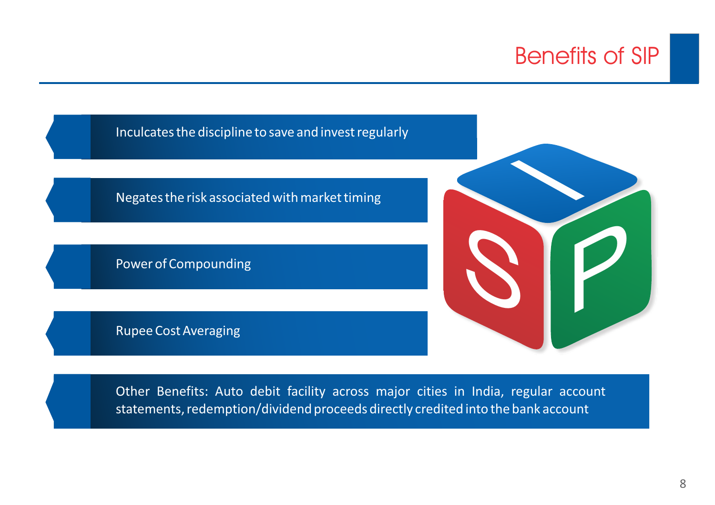#### Benefits of SIP



Other Benefits: Auto debit facility across major cities in India, regular account statements, redemption/dividend proceeds directly credited into the bank account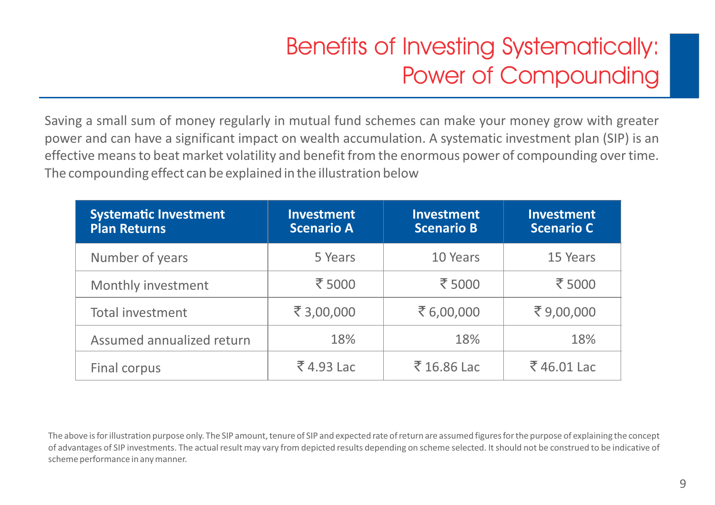## Benefits of Investing Systematically: Power of Compounding

Saving a small sum of money regularly in mutual fund schemes can make your money grow with greater power and can have a significant impact on wealth accumulation. A systematic investment plan (SIP) is an effective means to beat market volatility and benefit from the enormous power of compounding over time. The compounding effect can be explained in the illustration below

| <b>Systematic Investment</b><br><b>Plan Returns</b> | <b>Investment</b><br><b>Scenario A</b> | <b>Investment</b><br><b>Scenario B</b> | <b>Investment</b><br><b>Scenario C</b> |
|-----------------------------------------------------|----------------------------------------|----------------------------------------|----------------------------------------|
| Number of years                                     | 5 Years                                | 10 Years                               | 15 Years                               |
| Monthly investment                                  | ₹5000                                  | ₹ 5000                                 | ₹5000                                  |
| Total investment                                    | ₹3,00,000                              | ₹6,00,000                              | ₹9,00,000                              |
| Assumed annualized return                           | 18%                                    | 18%                                    | 18%                                    |
| Final corpus                                        | ₹4.93 Lac                              | ₹16.86 Lac                             | ₹46.01 Lac                             |

The above is for illustration purpose only. The SIP amount, tenure of SIP and expected rate of return are assumed figures for the purpose of explaining the concept of advantages of SIP investments. The actual result may vary from depicted results depending on scheme selected. It should not be construed to be indicative of scheme performance in any manner.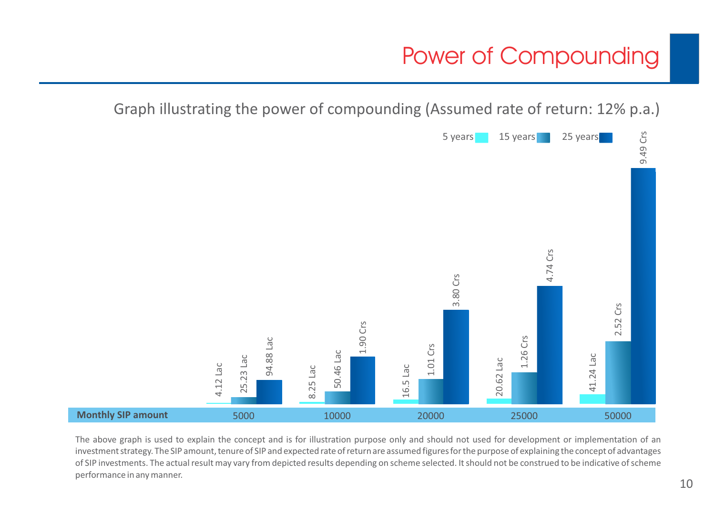### Power of Compounding

Graph illustrating the power of compounding (Assumed rate of return: 12% p.a.)



The above graph is used to explain the concept and is for illustration purpose only and should not used for development or implementation of an investment strategy. The SIP amount, tenure of SIP and expected rate of return are assumed figures for the purpose of explaining the concept of advantages of SIP investments. The actual result may vary from depicted results depending on scheme selected. It should not be construed to be indicative of scheme performance in any manner.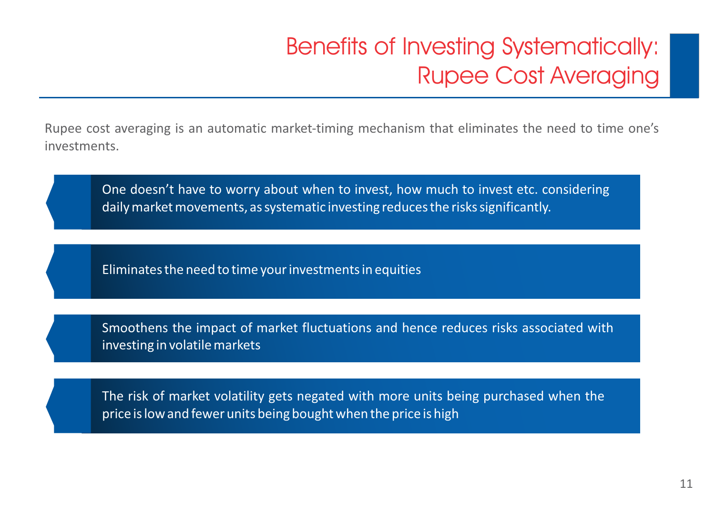## Benefits of Investing Systematically: Rupee Cost Averaging

Rupee cost averaging is an automatic market-timing mechanism that eliminates the need to time one's investments.

One doesn't have to worry about when to invest, how much to invest etc. considering daily market movements, as systematic investing reduces the risks significantly.

Eliminates the need to time your investments in equities

Smoothens the impact of market fluctuations and hence reduces risks associated with investing in volatile markets

The risk of market volatility gets negated with more units being purchased when the price is low and fewer units being bought when the price is high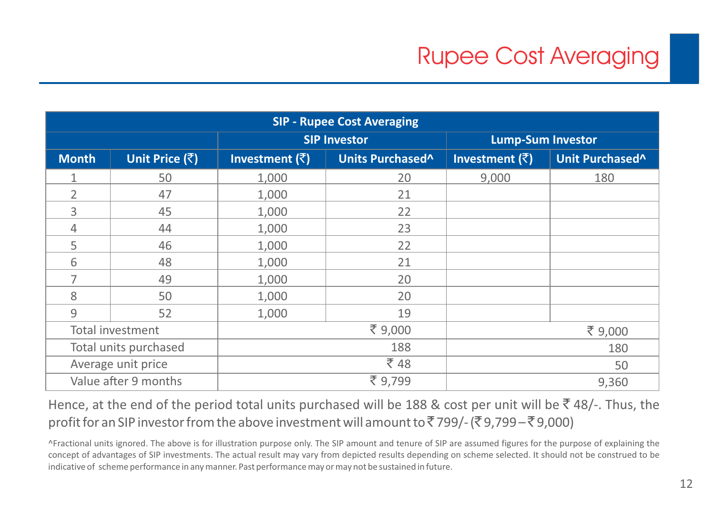| <b>SIP - Rupee Cost Averaging</b> |                       |                                  |                  |                          |                 |  |
|-----------------------------------|-----------------------|----------------------------------|------------------|--------------------------|-----------------|--|
|                                   |                       | <b>SIP Investor</b>              |                  | <b>Lump-Sum Investor</b> |                 |  |
| <b>Month</b>                      | Unit Price (₹)        | Investment $(\bar{\bar{\zeta}})$ | Units Purchased^ | Investment $(\bar{z})$   | Unit Purchased^ |  |
|                                   | 50                    | 1,000                            | 20               | 9,000                    | 180             |  |
| 2                                 | 47                    | 1,000                            | 21               |                          |                 |  |
| 3                                 | 45                    | 1,000                            | 22               |                          |                 |  |
| 4                                 | 44                    | 1,000                            | 23               |                          |                 |  |
| 5                                 | 46                    | 1,000                            | 22               |                          |                 |  |
| 6                                 | 48                    | 1,000                            | 21               |                          |                 |  |
| 7                                 | 49                    | 1,000                            | 20               |                          |                 |  |
| 8                                 | 50                    | 1,000                            | 20               |                          |                 |  |
| 9                                 | 52                    | 1,000                            | 19               |                          |                 |  |
|                                   | Total investment      |                                  | ₹ 9,000          |                          | ₹ 9,000         |  |
|                                   | Total units purchased |                                  | 188              |                          | 180             |  |
|                                   | Average unit price    |                                  | ₹48              |                          | 50              |  |
|                                   | Value after 9 months  |                                  | ₹ 9,799          |                          | 9,360           |  |

Hence, at the end of the period total units purchased will be 188 & cost per unit will be  $\bar{z}$  48/-. Thus, the profit for an SIP investor from the above investment will amount to  $\bar{z}$  799/- ( $\bar{z}$  9,799 –  $\bar{z}$  9,000)

^Fractional units ignored. The above is for illustration purpose only. The SIP amount and tenure of SIP are assumed figures for the purpose of explaining the concept of advantages of SIP investments. The actual result may vary from depicted results depending on scheme selected. It should not be construed to be indicative of scheme performance in any manner. Past performance may or may not be sustained in future.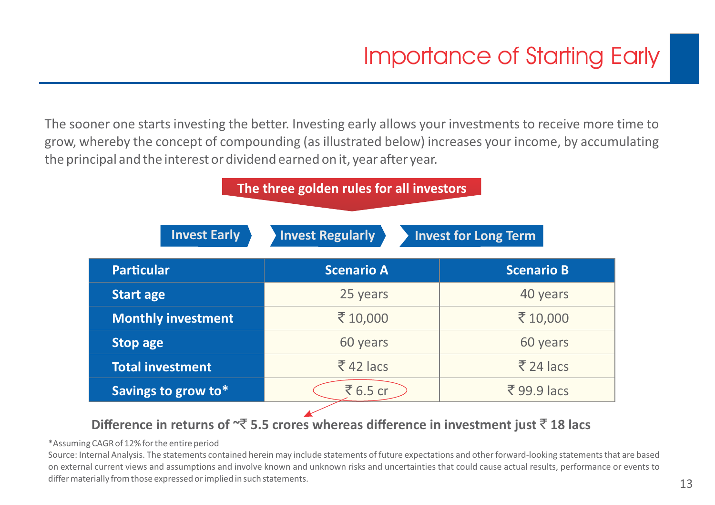The sooner one starts investing the better. Investing early allows your investments to receive more time to grow, whereby the concept of compounding (as illustrated below) increases your income, by accumulating the principal and the interest or dividend earned on it, year after year.

| The three golden rules for all investors |                         |                             |  |  |  |  |
|------------------------------------------|-------------------------|-----------------------------|--|--|--|--|
| <b>Invest Early</b>                      | <b>Invest Regularly</b> | <b>Invest for Long Term</b> |  |  |  |  |
| <b>Particular</b>                        | <b>Scenario A</b>       | <b>Scenario B</b>           |  |  |  |  |
| <b>Start age</b>                         | 25 years                | 40 years                    |  |  |  |  |
| <b>Monthly investment</b>                | ₹10,000                 | ₹10,000                     |  |  |  |  |
| <b>Stop age</b>                          | 60 years                | 60 years                    |  |  |  |  |
| <b>Total investment</b>                  | $\overline{5}$ 42 lacs  | $\overline{5}$ 24 lacs      |  |  |  |  |
| Savings to grow to*                      | ₹6.5 cr                 | $\bar{z}$ 99.9 lacs         |  |  |  |  |

#### **Difference in returns of**  $\overline{z}$  **5.5 crores whereas difference in investment just**  $\overline{z}$  **18 lacs**

#### \*Assuming CAGR of 12% for the entire period

Source: Internal Analysis. The statements contained herein may include statements of future expectations and other forward-looking statements that are based on external current views and assumptions and involve known and unknown risks and uncertainties that could cause actual results, performance or events to differ materially from those expressed or implied in such statements.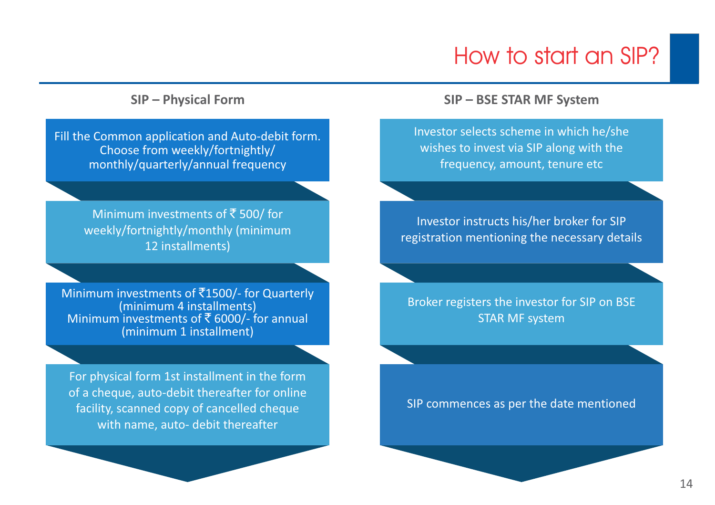#### How to start an SIP?

Fill the Common application and Auto-debit form. Choose from weekly/fortnightly/ monthly/quarterly/annual frequency

> Minimum investments of  $\bar{z}$  500/ for weekly/fortnightly/monthly (minimum 12 installments)

Minimum investments of  $\bar{c}$ 1500/- for Quarterly (minimum 4 installments) Minimum investments of  $\bar{\bar{\mathcal{E}}}$  6000/- for annual (minimum 1 installment)

For physical form 1st installment in the form of a cheque, auto-debit thereafter for online facility, scanned copy of cancelled cheque with name, auto- debit thereafter

#### **SIP – Physical Form SIP – BSE STAR MF System**

Investor selects scheme in which he/she wishes to invest via SIP along with the frequency, amount, tenure etc

Investor instructs his/her broker for SIP registration mentioning the necessary details

Broker registers the investor for SIP on BSE STAR MF system

SIP commences as per the date mentioned